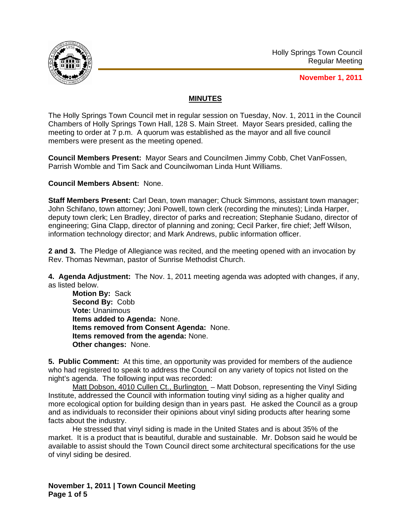

**November 1, 2011**

## **MINUTES**

The Holly Springs Town Council met in regular session on Tuesday, Nov. 1, 2011 in the Council Chambers of Holly Springs Town Hall, 128 S. Main Street. Mayor Sears presided, calling the meeting to order at 7 p.m. A quorum was established as the mayor and all five council members were present as the meeting opened.

**Council Members Present:** Mayor Sears and Councilmen Jimmy Cobb, Chet VanFossen, Parrish Womble and Tim Sack and Councilwoman Linda Hunt Williams.

**Council Members Absent:** None.

**Staff Members Present:** Carl Dean, town manager; Chuck Simmons, assistant town manager; John Schifano, town attorney; Joni Powell, town clerk (recording the minutes); Linda Harper, deputy town clerk; Len Bradley, director of parks and recreation; Stephanie Sudano, director of engineering; Gina Clapp, director of planning and zoning; Cecil Parker, fire chief; Jeff Wilson, information technology director; and Mark Andrews, public information officer.

**2 and 3.** The Pledge of Allegiance was recited, and the meeting opened with an invocation by Rev. Thomas Newman, pastor of Sunrise Methodist Church.

**4. Agenda Adjustment:** The Nov. 1, 2011 meeting agenda was adopted with changes, if any, as listed below.

**Motion By:** Sack **Second By:** Cobb **Vote:** Unanimous **Items added to Agenda:** None. **Items removed from Consent Agenda:** None. **Items removed from the agenda:** None. **Other changes:** None.

**5. Public Comment:** At this time, an opportunity was provided for members of the audience who had registered to speak to address the Council on any variety of topics not listed on the night's agenda. The following input was recorded:

Matt Dobson, 4010 Cullen Ct., Burlington – Matt Dobson, representing the Vinyl Siding Institute, addressed the Council with information touting vinyl siding as a higher quality and more ecological option for building design than in years past. He asked the Council as a group and as individuals to reconsider their opinions about vinyl siding products after hearing some facts about the industry.

He stressed that vinyl siding is made in the United States and is about 35% of the market. It is a product that is beautiful, durable and sustainable. Mr. Dobson said he would be available to assist should the Town Council direct some architectural specifications for the use of vinyl siding be desired.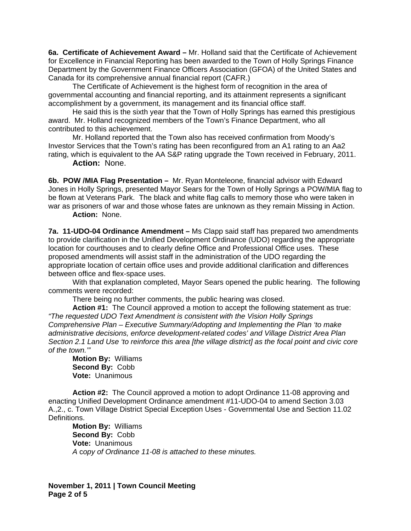**6a. Certificate of Achievement Award –** Mr. Holland said that the Certificate of Achievement for Excellence in Financial Reporting has been awarded to the Town of Holly Springs Finance Department by the Government Finance Officers Association (GFOA) of the United States and Canada for its comprehensive annual financial report (CAFR.)

 The Certificate of Achievement is the highest form of recognition in the area of governmental accounting and financial reporting, and its attainment represents a significant accomplishment by a government, its management and its financial office staff.

 He said this is the sixth year that the Town of Holly Springs has earned this prestigious award. Mr. Holland recognized members of the Town's Finance Department, who all contributed to this achievement.

 Mr. Holland reported that the Town also has received confirmation from Moody's Investor Services that the Town's rating has been reconfigured from an A1 rating to an Aa2 rating, which is equivalent to the AA S&P rating upgrade the Town received in February, 2011.

 **Action:** None.

**6b. POW /MIA Flag Presentation –** Mr. Ryan Monteleone, financial advisor with Edward Jones in Holly Springs, presented Mayor Sears for the Town of Holly Springs a POW/MIA flag to be flown at Veterans Park. The black and white flag calls to memory those who were taken in war as prisoners of war and those whose fates are unknown as they remain Missing in Action.  **Action:** None.

**7a. 11-UDO-04 Ordinance Amendment –** Ms Clapp said staff has prepared two amendments to provide clarification in the Unified Development Ordinance (UDO) regarding the appropriate location for courthouses and to clearly define Office and Professional Office uses. These proposed amendments will assist staff in the administration of the UDO regarding the appropriate location of certain office uses and provide additional clarification and differences between office and flex-space uses.

With that explanation completed, Mayor Sears opened the public hearing. The following comments were recorded:

There being no further comments, the public hearing was closed.

**Action #1:** The Council approved a motion to accept the following statement as true: *"The requested UDO Text Amendment is consistent with the Vision Holly Springs Comprehensive Plan – Executive Summary/Adopting and Implementing the Plan 'to make administrative decisions, enforce development-related codes' and Village District Area Plan Section 2.1 Land Use 'to reinforce this area [the village district] as the focal point and civic core of the town.'"* 

**Motion By:** Williams **Second By:** Cobb **Vote:** Unanimous

**Action #2:** The Council approved a motion to adopt Ordinance 11-08 approving and enacting Unified Development Ordinance amendment #11-UDO-04 to amend Section 3.03 A.,2., c. Town Village District Special Exception Uses - Governmental Use and Section 11.02 Definitions.

**Motion By:** Williams **Second By:** Cobb **Vote:** Unanimous *A* c*opy of Ordinance 11-08 is attached to these minutes.*

**November 1, 2011 | Town Council Meeting Page 2 of 5**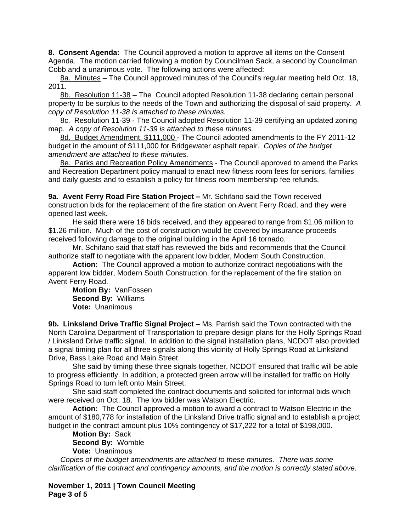**8. Consent Agenda:** The Council approved a motion to approve all items on the Consent Agenda. The motion carried following a motion by Councilman Sack, a second by Councilman Cobb and a unanimous vote. The following actions were affected:

8a. Minutes – The Council approved minutes of the Council's regular meeting held Oct. 18, 2011.

8b. Resolution 11-38 – The Council adopted Resolution 11-38 declaring certain personal property to be surplus to the needs of the Town and authorizing the disposal of said property. *A copy of Resolution 11-38 is attached to these minutes.*

8c. Resolution 11-39 - The Council adopted Resolution 11-39 certifying an updated zoning map. *A copy of Resolution 11-39 is attached to these minutes.*

8d. Budget Amendment, \$111,000 - The Council adopted amendments to the FY 2011-12 budget in the amount of \$111,000 for Bridgewater asphalt repair.*Copies of the budget amendment are attached to these minutes.*

8e. Parks and Recreation Policy Amendments - The Council approved to amend the Parks and Recreation Department policy manual to enact new fitness room fees for seniors, families and daily guests and to establish a policy for fitness room membership fee refunds.

**9a. Avent Ferry Road Fire Station Project –** Mr. Schifano said the Town received construction bids for the replacement of the fire station on Avent Ferry Road, and they were opened last week.

He said there were 16 bids received, and they appeared to range from \$1.06 million to \$1.26 million. Much of the cost of construction would be covered by insurance proceeds received following damage to the original building in the April 16 tornado.

Mr. Schifano said that staff has reviewed the bids and recommends that the Council authorize staff to negotiate with the apparent low bidder, Modern South Construction.

**Action:** The Council approved a motion to authorize contract negotiations with the apparent low bidder, Modern South Construction, for the replacement of the fire station on Avent Ferry Road.

**Motion By:** VanFossen  **Second By:** Williams  **Vote:** Unanimous

**9b. Linksland Drive Traffic Signal Project –** Ms. Parrish said the Town contracted with the North Carolina Department of Transportation to prepare design plans for the Holly Springs Road / Linksland Drive traffic signal. In addition to the signal installation plans, NCDOT also provided a signal timing plan for all three signals along this vicinity of Holly Springs Road at Linksland Drive, Bass Lake Road and Main Street.

 She said by timing these three signals together, NCDOT ensured that traffic will be able to progress efficiently. In addition, a protected green arrow will be installed for traffic on Holly Springs Road to turn left onto Main Street.

 She said staff completed the contract documents and solicited for informal bids which were received on Oct. 18. The low bidder was Watson Electric.

**Action:** The Council approved a motion to award a contract to Watson Electric in the amount of \$180,778 for installation of the Linksland Drive traffic signal and to establish a project budget in the contract amount plus 10% contingency of \$17,222 for a total of \$198,000.

**Motion By:** Sack  **Second By:** Womble  **Vote:** Unanimous

*Copies of the budget amendments are attached to these minutes. There was some clarification of the contract and contingency amounts, and the motion is correctly stated above.*

**November 1, 2011 | Town Council Meeting Page 3 of 5**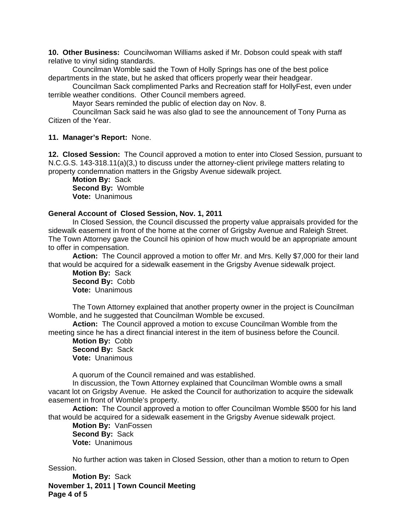**10. Other Business:** Councilwoman Williams asked if Mr. Dobson could speak with staff relative to vinyl siding standards.

Councilman Womble said the Town of Holly Springs has one of the best police departments in the state, but he asked that officers properly wear their headgear.

Councilman Sack complimented Parks and Recreation staff for HollyFest, even under terrible weather conditions. Other Council members agreed.

Mayor Sears reminded the public of election day on Nov. 8.

 Councilman Sack said he was also glad to see the announcement of Tony Purna as Citizen of the Year.

## **11. Manager's Report:** None.

**12. Closed Session:** The Council approved a motion to enter into Closed Session, pursuant to N.C.G.S. 143-318.11(a)(3,) to discuss under the attorney-client privilege matters relating to property condemnation matters in the Grigsby Avenue sidewalk project.

**Motion By:** Sack **Second By:** Womble **Vote:** Unanimous

## **General Account of Closed Session, Nov. 1, 2011**

 In Closed Session, the Council discussed the property value appraisals provided for the sidewalk easement in front of the home at the corner of Grigsby Avenue and Raleigh Street. The Town Attorney gave the Council his opinion of how much would be an appropriate amount to offer in compensation.

**Action:** The Council approved a motion to offer Mr. and Mrs. Kelly \$7,000 for their land that would be acquired for a sidewalk easement in the Grigsby Avenue sidewalk project.

**Motion By:** Sack **Second By:** Cobb **Vote:** Unanimous

 The Town Attorney explained that another property owner in the project is Councilman Womble, and he suggested that Councilman Womble be excused.

 **Action:** The Council approved a motion to excuse Councilman Womble from the meeting since he has a direct financial interest in the item of business before the Council.

**Motion By:** Cobb **Second By:** Sack **Vote:** Unanimous

A quorum of the Council remained and was established.

 In discussion, the Town Attorney explained that Councilman Womble owns a small vacant lot on Grigsby Avenue. He asked the Council for authorization to acquire the sidewalk easement in front of Womble's property.

 **Action:** The Council approved a motion to offer Councilman Womble \$500 for his land that would be acquired for a sidewalk easement in the Grigsby Avenue sidewalk project.

**Motion By:** VanFossen **Second By:** Sack **Vote:** Unanimous

 No further action was taken in Closed Session, other than a motion to return to Open Session.

**November 1, 2011 | Town Council Meeting Page 4 of 5 Motion By:** Sack